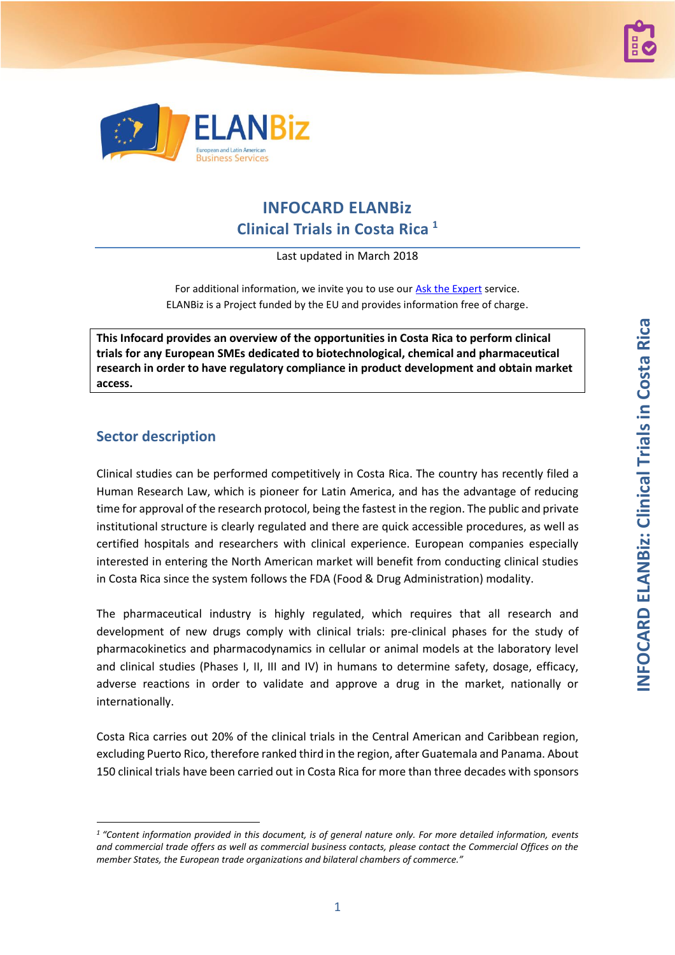



# **INFOCARD ELANBiz Clinical Trials in Costa Rica <sup>1</sup>**

Last updated in March 2018

For additional information, we invite you to use our **Ask the Expert** service. ELANBiz is a Project funded by the EU and provides information free of charge.

**This Infocard provides an overview of the opportunities in Costa Rica to perform clinical trials for any European SMEs dedicated to biotechnological, chemical and pharmaceutical research in order to have regulatory compliance in product development and obtain market access.**

## **Sector description**

1

Clinical studies can be performed competitively in Costa Rica. The country has recently filed a Human Research Law, which is pioneer for Latin America, and has the advantage of reducing time for approval of the research protocol, being the fastest in the region. The public and private institutional structure is clearly regulated and there are quick accessible procedures, as well as certified hospitals and researchers with clinical experience. European companies especially interested in entering the North American market will benefit from conducting clinical studies in Costa Rica since the system follows the FDA (Food & Drug Administration) modality.

The pharmaceutical industry is highly regulated, which requires that all research and development of new drugs comply with clinical trials: pre-clinical phases for the study of pharmacokinetics and pharmacodynamics in cellular or animal models at the laboratory level and clinical studies (Phases I, II, III and IV) in humans to determine safety, dosage, efficacy, adverse reactions in order to validate and approve a drug in the market, nationally or internationally.

Costa Rica carries out 20% of the clinical trials in the Central American and Caribbean region, excluding Puerto Rico, therefore ranked third in the region, after Guatemala and Panama. About 150 clinical trials have been carried out in Costa Rica for more than three decades with sponsors

<sup>&</sup>lt;sup>1</sup> "Content information provided in this document, is of general nature only. For more detailed information, events *and commercial trade offers as well as commercial business contacts, please contact the Commercial Offices on the member States, the European trade organizations and bilateral chambers of commerce."*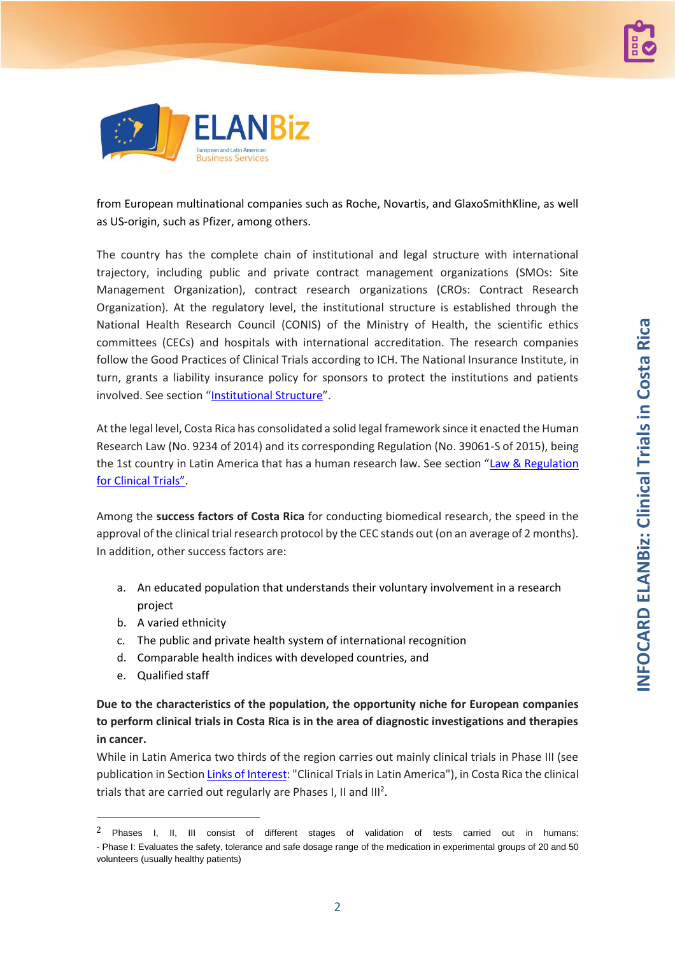

from European multinational companies such as Roche, Novartis, and GlaxoSmithKline, as well as US-origin, such as Pfizer, among others.

The country has the complete chain of institutional and legal structure with international trajectory, including public and private contract management organizations (SMOs: Site Management Organization), contract research organizations (CROs: Contract Research Organization). At the regulatory level, the institutional structure is established through the National Health Research Council (CONIS) of the Ministry of Health, the scientific ethics committees (CECs) and hospitals with international accreditation. The research companies follow the Good Practices of Clinical Trials according to ICH. The National Insurance Institute, in turn, grants a liability insurance policy for sponsors to protect the institutions and patients involved. See section "[Institutional Structure](#page-4-0)".

At the legal level, Costa Rica has consolidated a solid legal framework since it enacted the Human Research Law (No. 9234 of 2014) and its corresponding Regulation (No. 39061-S of 2015), being the 1st country in Latin America that has a human research law. See section "Law & Regulation for Clinical Trials".

Among the **success factors of Costa Rica** for conducting biomedical research, the speed in the approval of the clinical trial research protocol by the CEC stands out (on an average of 2 months). In addition, other success factors are:

- a. An educated population that understands their voluntary involvement in a research project
- b. A varied ethnicity
- c. The public and private health system of international recognition
- d. Comparable health indices with developed countries, and
- e. Qualified staff

1

**Due to the characteristics of the population, the opportunity niche for European companies to perform clinical trials in Costa Rica is in the area of diagnostic investigations and therapies in cancer.**

While in Latin America two thirds of the region carries out mainly clinical trials in Phase III (see publication in Sectio[n Links of Interest:](#page-9-0) "Clinical Trials in Latin America"), in Costa Rica the clinical trials that are carried out regularly are Phases I, II and  $III<sup>2</sup>$ .

2

<sup>2</sup> Phases I, II, III consist of different stages of validation of tests carried out in humans: - Phase I: Evaluates the safety, tolerance and safe dosage range of the medication in experimental groups of 20 and 50 volunteers (usually healthy patients)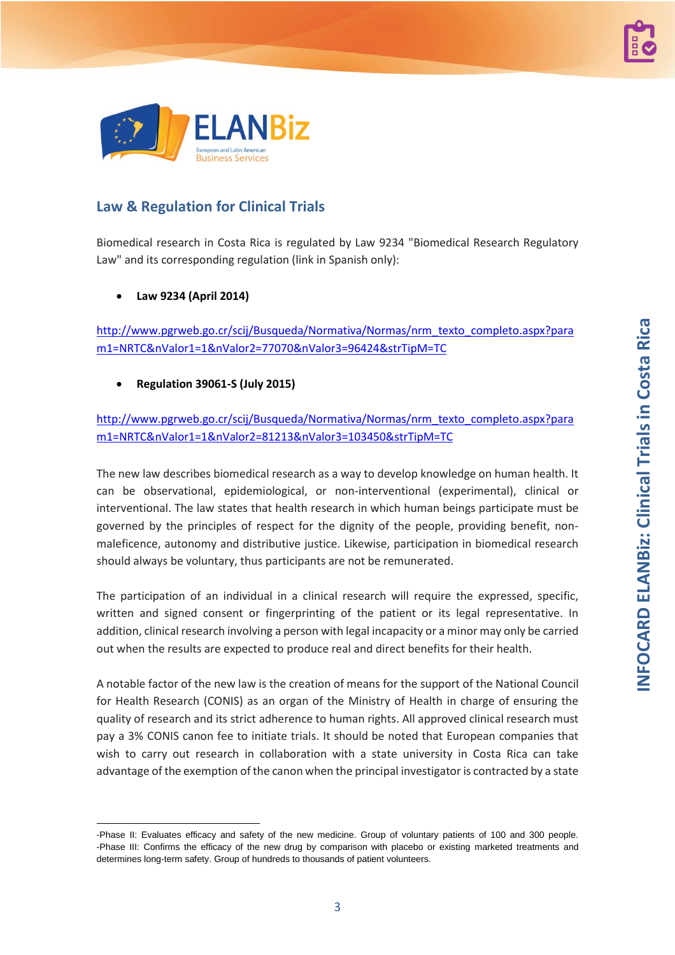

## **Law & Regulation for Clinical Trials**

Biomedical research in Costa Rica is regulated by Law 9234 "Biomedical Research Regulatory Law" and its corresponding regulation (link in Spanish only):

#### • **Law 9234 (April 2014)**

1

[http://www.pgrweb.go.cr/scij/Busqueda/Normativa/Normas/nrm\\_texto\\_completo.aspx?para](http://www.pgrweb.go.cr/scij/Busqueda/Normativa/Normas/nrm_texto_completo.aspx?param1=NRTC&nValor1=1&nValor2=77070&nValor3=96424&strTipM=TC) [m1=NRTC&nValor1=1&nValor2=77070&nValor3=96424&strTipM=TC](http://www.pgrweb.go.cr/scij/Busqueda/Normativa/Normas/nrm_texto_completo.aspx?param1=NRTC&nValor1=1&nValor2=77070&nValor3=96424&strTipM=TC)

#### • **Regulation 39061-S (July 2015)**

[http://www.pgrweb.go.cr/scij/Busqueda/Normativa/Normas/nrm\\_texto\\_completo.aspx?para](http://www.pgrweb.go.cr/scij/Busqueda/Normativa/Normas/nrm_texto_completo.aspx?param1=NRTC&nValor1=1&nValor2=81213&nValor3=103450&strTipM=TC) [m1=NRTC&nValor1=1&nValor2=81213&nValor3=103450&strTipM=TC](http://www.pgrweb.go.cr/scij/Busqueda/Normativa/Normas/nrm_texto_completo.aspx?param1=NRTC&nValor1=1&nValor2=81213&nValor3=103450&strTipM=TC)

The new law describes biomedical research as a way to develop knowledge on human health. It can be observational, epidemiological, or non-interventional (experimental), clinical or interventional. The law states that health research in which human beings participate must be governed by the principles of respect for the dignity of the people, providing benefit, nonmaleficence, autonomy and distributive justice. Likewise, participation in biomedical research should always be voluntary, thus participants are not be remunerated.

The participation of an individual in a clinical research will require the expressed, specific, written and signed consent or fingerprinting of the patient or its legal representative. In addition, clinical research involving a person with legal incapacity or a minor may only be carried out when the results are expected to produce real and direct benefits for their health.

A notable factor of the new law is the creation of means for the support of the National Council for Health Research (CONIS) as an organ of the Ministry of Health in charge of ensuring the quality of research and its strict adherence to human rights. All approved clinical research must pay a 3% CONIS canon fee to initiate trials. It should be noted that European companies that wish to carry out research in collaboration with a state university in Costa Rica can take advantage of the exemption of the canon when the principal investigator is contracted by a state

<sup>-</sup>Phase II: Evaluates efficacy and safety of the new medicine. Group of voluntary patients of 100 and 300 people. -Phase III: Confirms the efficacy of the new drug by comparison with placebo or existing marketed treatments and determines long-term safety. Group of hundreds to thousands of patient volunteers.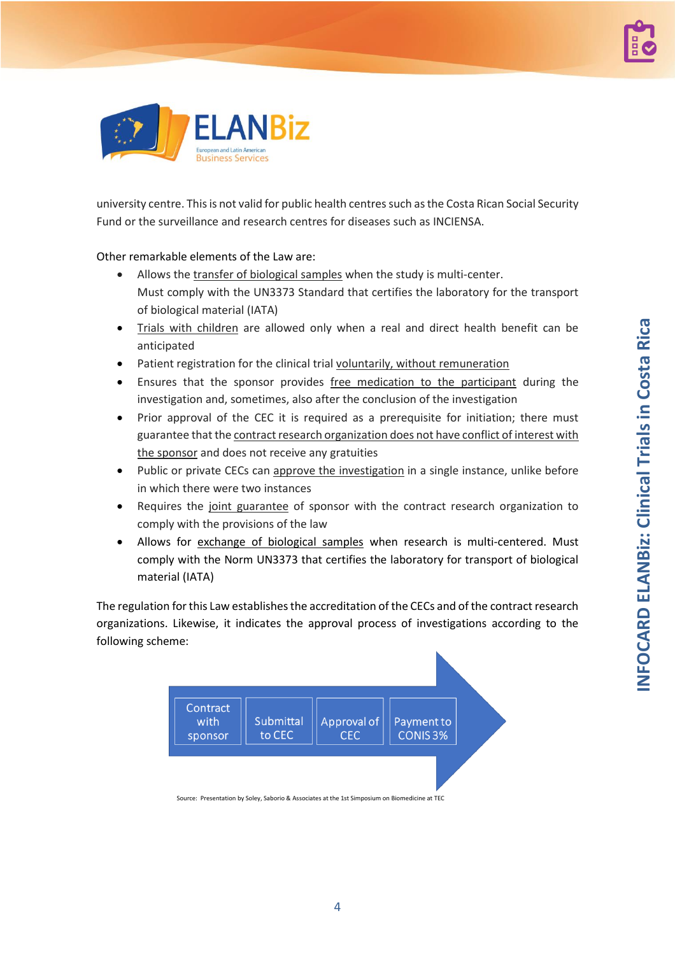



university centre. This is not valid for public health centres such as the Costa Rican Social Security Fund or the surveillance and research centres for diseases such as INCIENSA.

Other remarkable elements of the Law are:

- Allows the transfer of biological samples when the study is multi-center. Must comply with the UN3373 Standard that certifies the laboratory for the transport of biological material (IATA)
- Trials with children are allowed only when a real and direct health benefit can be anticipated
- Patient registration for the clinical trial voluntarily, without remuneration
- Ensures that the sponsor provides free medication to the participant during the investigation and, sometimes, also after the conclusion of the investigation
- Prior approval of the CEC it is required as a prerequisite for initiation; there must guarantee that the contract research organization does not have conflict of interest with the sponsor and does not receive any gratuities
- Public or private CECs can approve the investigation in a single instance, unlike before in which there were two instances
- Requires the joint guarantee of sponsor with the contract research organization to comply with the provisions of the law
- Allows for exchange of biological samples when research is multi-centered. Must comply with the Norm UN3373 that certifies the laboratory for transport of biological material (IATA)

The regulation for this Law establishes the accreditation of the CECs and of the contract research organizations. Likewise, it indicates the approval process of investigations according to the following scheme:

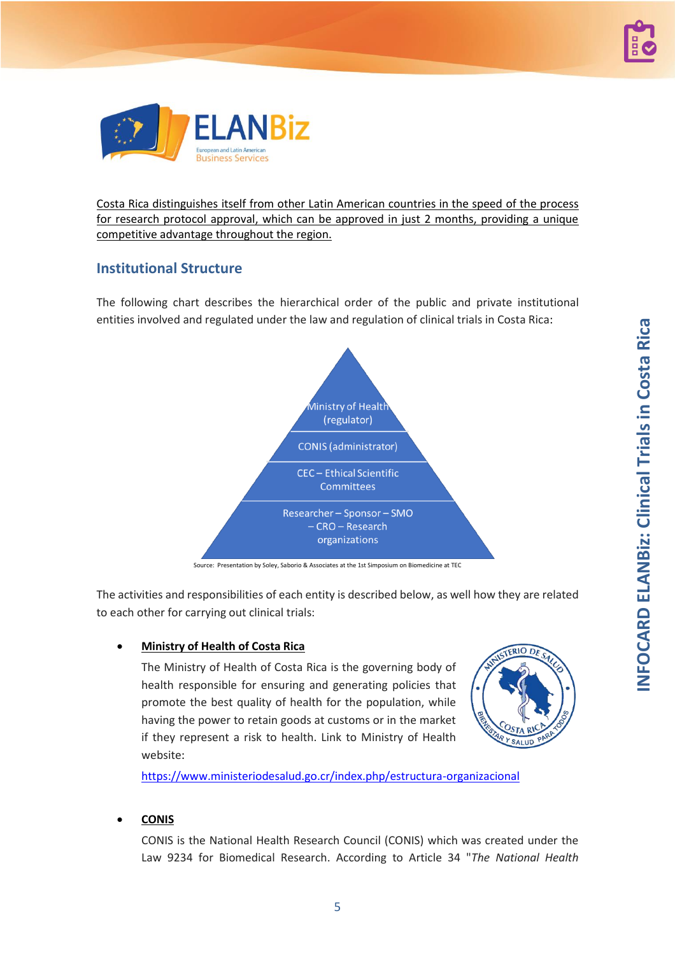



Costa Rica distinguishes itself from other Latin American countries in the speed of the process for research protocol approval, which can be approved in just 2 months, providing a unique competitive advantage throughout the region.

## <span id="page-4-0"></span>**Institutional Structure**

The following chart describes the hierarchical order of the public and private institutional entities involved and regulated under the law and regulation of clinical trials in Costa Rica:



Source: Presentation by Soley, Saborio & Associates at the 1st Simposium on Biomedicine at TEC

The activities and responsibilities of each entity is described below, as well how they are related to each other for carrying out clinical trials:

#### • **Ministry of Health of Costa Rica**

The Ministry of Health of Costa Rica is the governing body of health responsible for ensuring and generating policies that promote the best quality of health for the population, while having the power to retain goods at customs or in the market if they represent a risk to health. Link to Ministry of Health website:



<https://www.ministeriodesalud.go.cr/index.php/estructura-organizacional>

#### • **CONIS**

CONIS is the National Health Research Council (CONIS) which was created under the Law 9234 for Biomedical Research. According to Article 34 "*The National Health*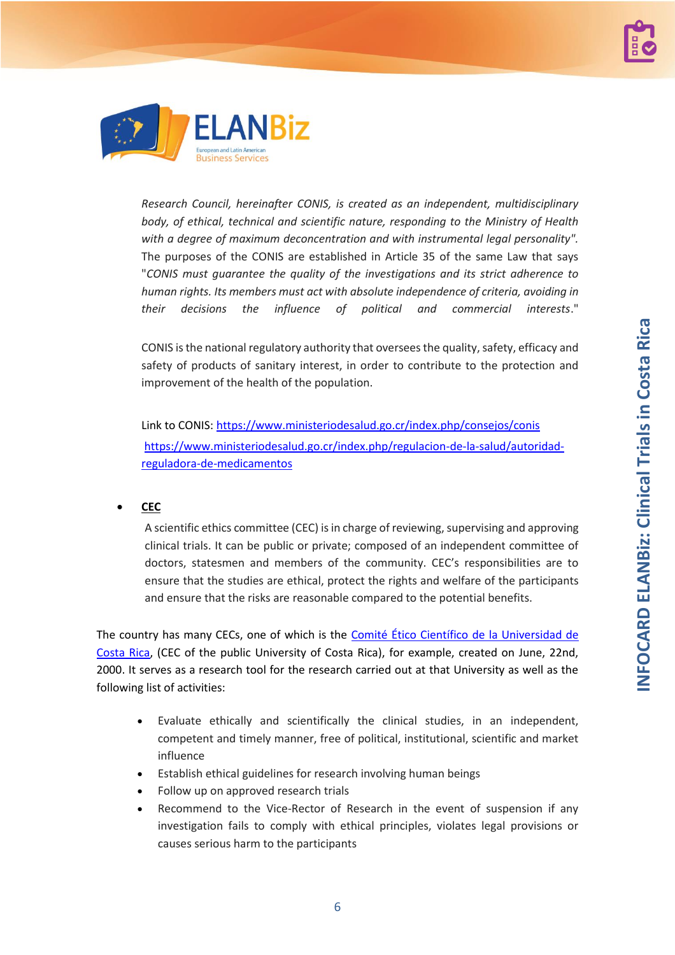



*Research Council, hereinafter CONIS, is created as an independent, multidisciplinary body, of ethical, technical and scientific nature, responding to the Ministry of Health with a degree of maximum deconcentration and with instrumental legal personality".* The purposes of the CONIS are established in Article 35 of the same Law that says "*CONIS must guarantee the quality of the investigations and its strict adherence to human rights. Its members must act with absolute independence of criteria, avoiding in their decisions the influence of political and commercial interests*."

CONIS is the national regulatory authority that oversees the quality, safety, efficacy and safety of products of sanitary interest, in order to contribute to the protection and improvement of the health of the population.

Link to CONIS[: https://www.ministeriodesalud.go.cr/index.php/consejos/conis](https://www.ministeriodesalud.go.cr/index.php/consejos/conis) [https://www.ministeriodesalud.go.cr/index.php/regulacion-de-la-salud/autoridad](https://www.ministeriodesalud.go.cr/index.php/regulacion-de-la-salud/autoridad-reguladora-de-medicamentos)[reguladora-de-medicamentos](https://www.ministeriodesalud.go.cr/index.php/regulacion-de-la-salud/autoridad-reguladora-de-medicamentos)

#### • **CEC**

A scientific ethics committee (CEC) is in charge of reviewing, supervising and approving clinical trials. It can be public or private; composed of an independent committee of doctors, statesmen and members of the community. CEC's responsibilities are to ensure that the studies are ethical, protect the rights and welfare of the participants and ensure that the risks are reasonable compared to the potential benefits.

The country has many CECs, one of which is the [Comité Ético Científico](http://vinv.ucr.ac.cr/comite-etico-cientifico) de la Universidad de [Costa Rica,](http://vinv.ucr.ac.cr/comite-etico-cientifico) (CEC of the public University of Costa Rica), for example, created on June, 22nd, 2000. It serves as a research tool for the research carried out at that University as well as the following list of activities:

- Evaluate ethically and scientifically the clinical studies, in an independent, competent and timely manner, free of political, institutional, scientific and market influence
- Establish ethical guidelines for research involving human beings
- Follow up on approved research trials
- Recommend to the Vice-Rector of Research in the event of suspension if any investigation fails to comply with ethical principles, violates legal provisions or causes serious harm to the participants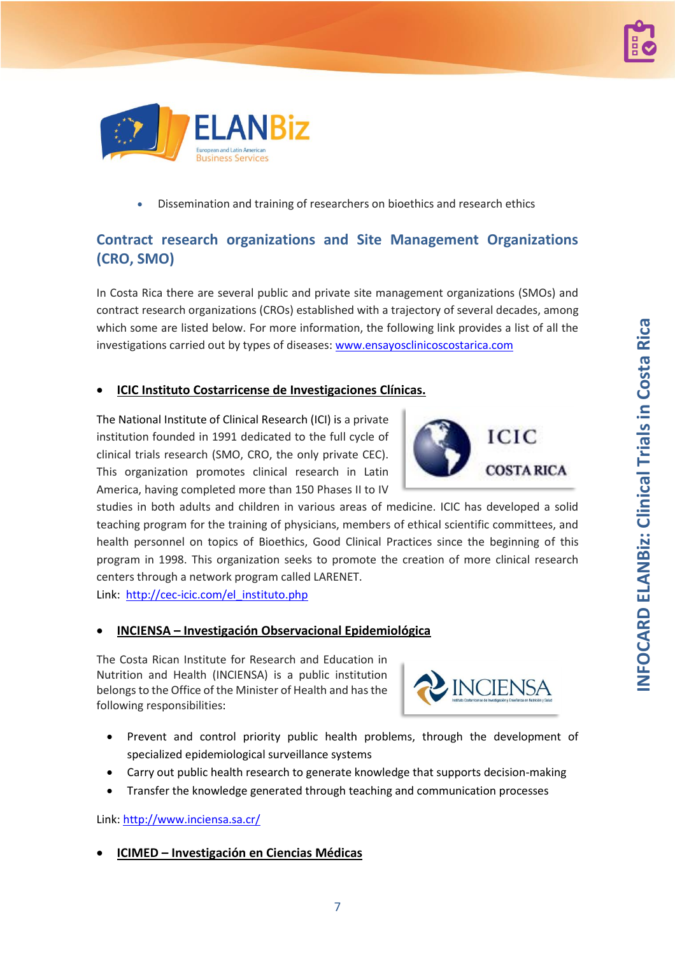**INFOCARD ELANBiz: Clinical Trials in Costa Rica INFOCARD ELANBiz: Clinical Trials in Costa Rica**

# • Dissemination and training of researchers on bioethics and research ethics

## **Contract research organizations and Site Management Organizations (CRO, SMO)**

In Costa Rica there are several public and private site management organizations (SMOs) and contract research organizations (CROs) established with a trajectory of several decades, among which some are listed below. For more information, the following link provides a list of all the investigations carried out by types of diseases[: www.ensayosclinicoscostarica.com](http://www.ensayosclinicoscostarica.com/)

#### • **ICIC Instituto Costarricense de Investigaciones Clínicas.**

The National Institute of Clinical Research (ICI) is a private institution founded in 1991 dedicated to the full cycle of clinical trials research (SMO, CRO, the only private CEC). This organization promotes clinical research in Latin America, having completed more than 150 Phases II to IV

studies in both adults and children in various areas of medicine. ICIC has developed a solid teaching program for the training of physicians, members of ethical scientific committees, and health personnel on topics of Bioethics, Good Clinical Practices since the beginning of this program in 1998. This organization seeks to promote the creation of more clinical research centers through a network program called LARENET.

Link: [http://cec-icic.com/el\\_instituto.php](http://cec-icic.com/el_instituto.php)

#### • **INCIENSA – Investigación Observacional Epidemiológica**

The Costa Rican Institute for Research and Education in Nutrition and Health (INCIENSA) is a public institution belongs to the Office of the Minister of Health and has the following responsibilities:

- Prevent and control priority public health problems, through the development of specialized epidemiological surveillance systems
- Carry out public health research to generate knowledge that supports decision-making

7

• Transfer the knowledge generated through teaching and communication processes

Link[: http://www.inciensa.sa.cr/](http://www.inciensa.sa.cr/)

#### • **ICIMED – Investigación en Ciencias Médicas**







**Business Services** 

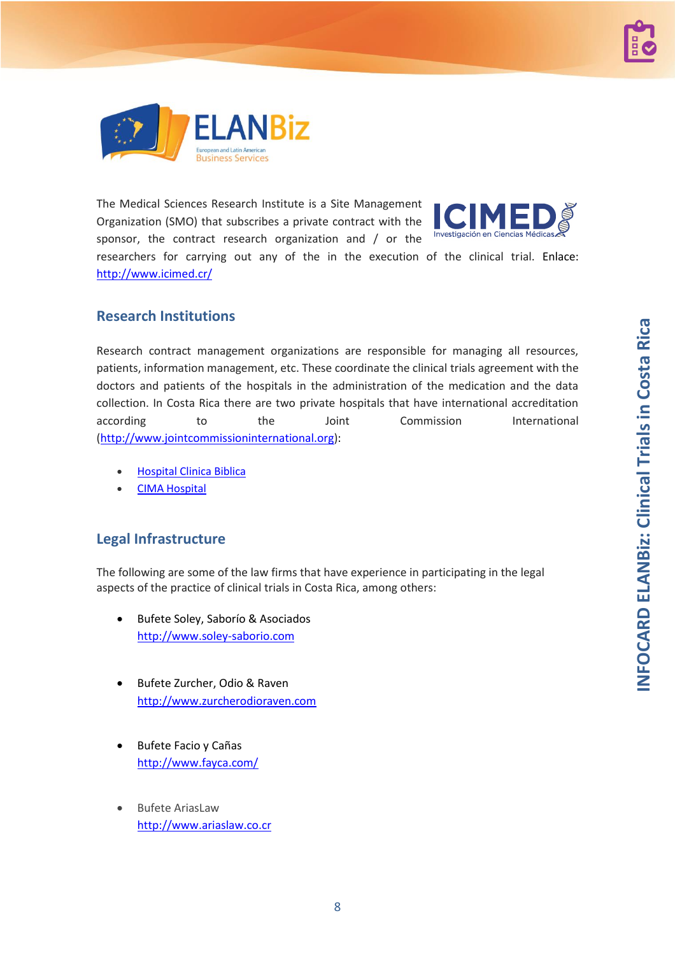



The Medical Sciences Research Institute is a Site Management Organization (SMO) that subscribes a private contract with the sponsor, the contract research organization and / or the



researchers for carrying out any of the in the execution of the clinical trial. Enlace: <http://www.icimed.cr/>

#### **Research Institutions**

Research contract management organizations are responsible for managing all resources, patients, information management, etc. These coordinate the clinical trials agreement with the doctors and patients of the hospitals in the administration of the medication and the data collection. In Costa Rica there are two private hospitals that have international accreditation according to the Joint Commission International [\(http://www.jointcommissioninternational.org\)](http://www.jointcommissioninternational.org/):

- [Hospital Clinica Biblica](https://www.health-tourism.com/medical-centers/hospital-clinica-biblica/)
- **[CIMA Hospital](https://www.health-tourism.com/medical-centers/hospital-cima-san-jose/)**

#### **Legal Infrastructure**

The following are some of the law firms that have experience in participating in the legal aspects of the practice of clinical trials in Costa Rica, among others:

- Bufete Soley, Saborío & Asociados [http://www.soley-saborio.com](http://www.soley-saborio.com/)
- Bufete Zurcher, Odio & Raven [http://www.zurcherodioraven.com](http://www.zurcherodioraven.com/)
- Bufete Facio y Cañas <http://www.fayca.com/>
- **Bufete AriasLaw** [http://www.ariaslaw.co.cr](http://www.ariaslaw.co.cr/)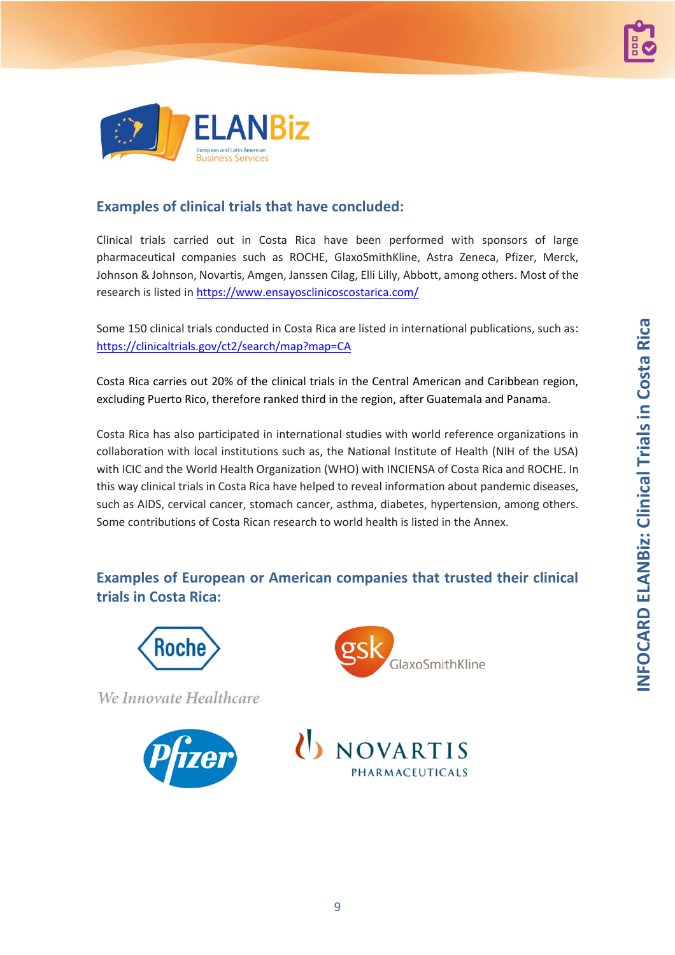

# **Examples of clinical trials that have concluded:**

Clinical trials carried out in Costa Rica have been performed with sponsors of large pharmaceutical companies such as ROCHE, GlaxoSmithKline, Astra Zeneca, Pfizer, Merck, Johnson & Johnson, Novartis, Amgen, Janssen Cilag, Elli Lilly, Abbott, among others. Most of the research is listed in <https://www.ensayosclinicoscostarica.com/>

Some 150 clinical trials conducted in Costa Rica are listed in international publications, such as: <https://clinicaltrials.gov/ct2/search/map?map=CA>

Costa Rica carries out 20% of the clinical trials in the Central American and Caribbean region, excluding Puerto Rico, therefore ranked third in the region, after Guatemala and Panama.

Costa Rica has also participated in international studies with world reference organizations in collaboration with local institutions such as, the National Institute of Health (NIH of the USA) with ICIC and the World Health Organization (WHO) with INCIENSA of Costa Rica and ROCHE. In this way clinical trials in Costa Rica have helped to reveal information about pandemic diseases, such as AIDS, cervical cancer, stomach cancer, asthma, diabetes, hypertension, among others. Some contributions of Costa Rican research to world health is listed in the Annex.

# **Examples of European or American companies that trusted their clinical trials in Costa Rica:**



We Innovate Healthcare